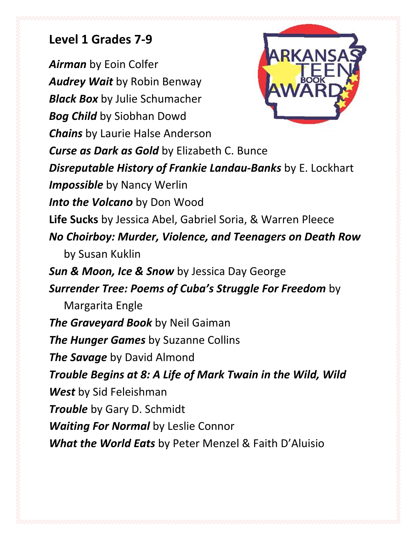## Level 1 Grades 7-9

Airman by Eoin Colfer Audrey Wait by Robin Benway **Black Box** by Julie Schumacher **Bog Child** by Siobhan Dowd Chains by Laurie Halse Anderson **Curse as Dark as Gold** by Elizabeth C. Bunce Disreputable History of Frankie Landau-Banks by E. Lockhart Impossible by Nancy Werlin Into the Volcano by Don Wood Life Sucks by Jessica Abel, Gabriel Soria, & Warren Pleece No Choirboy: Murder, Violence, and Teenagers on Death Row by Susan Kuklin Sun & Moon, Ice & Snow by Jessica Day George Surrender Tree: Poems of Cuba's Struggle For Freedom by Margarita Engle The Graveyard Book by Neil Gaiman The Hunger Games by Suzanne Collins The Savage by David Almond Trouble Begins at 8: A Life of Mark Twain in the Wild, Wild West by Sid Feleishman

**Trouble** by Gary D. Schmidt Waiting For Normal by Leslie Connor

What the World Eats by Peter Menzel & Faith D'Aluisio